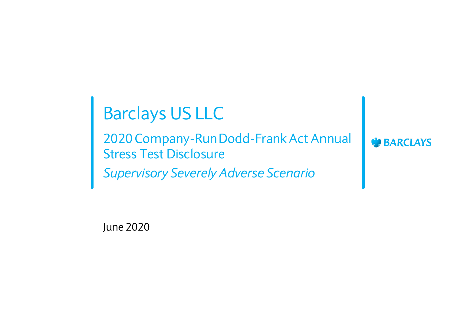# Barclays US LLC

2020 Company-Run Dodd-Frank Act Annual Stress Test Disclosure *Supervisory Severely Adverse Scenario*

**BARCLAYS** 

June 2020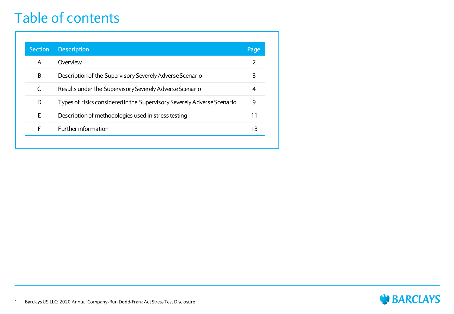#### Table of contents

| <b>Section</b> | <b>Description</b>                                                     | Page |
|----------------|------------------------------------------------------------------------|------|
| A              | Overview                                                               | 2    |
| В              | Description of the Supervisory Severely Adverse Scenario               | 3    |
|                | Results under the Supervisory Severely Adverse Scenario                | 4    |
| D              | Types of risks considered in the Supervisory Severely Adverse Scenario | 9    |
| E              | Description of methodologies used in stress testing                    | 11   |
| F              | Further information                                                    | 13   |

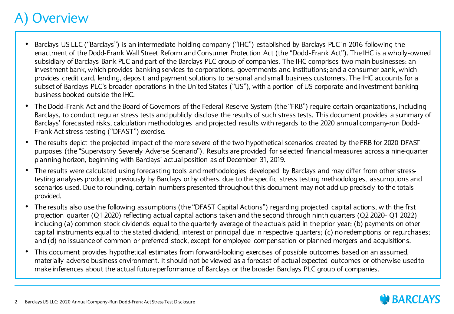#### **Overview**

- Barclays US LLC ("Barclays") is an intermediate holding company ("IHC") established by Barclays PLC in 2016 following the enactment of the Dodd-Frank Wall Street Reform and Consumer Protection Act (the "Dodd-Frank Act"). The IHC is a wholly-owned subsidiary of Barclays Bank PLC and part of the Barclays PLC group of companies. The IHC comprises two main businesses: an investment bank, which provides banking services to corporations, governments and institutions; and a consumer bank, which provides credit card, lending, deposit and payment solutions to personal and small business customers. The IHC accounts for a subset of Barclays PLC's broader operations in the United States ("US"), with a portion of US corporate and investment banking business booked outside the IHC.
- The Dodd-Frank Act and the Board of Governors of the Federal Reserve System (the "FRB") require certain organizations, including Barclays, to conduct regular stress tests and publicly disclose the results of such stress tests. This document provides a summary of Barclays' forecasted risks, calculation methodologies and projected results with regards to the 2020 annual company-run Dodd-Frank Act stress testing ("DFAST") exercise.
- The results depict the projected impact of the more severe of the two hypothetical scenarios created by the FRB for 2020 DFAST purposes (the "Supervisory Severely Adverse Scenario"). Results are provided for selected financial measures across a nine-quarter planning horizon, beginning with Barclays' actual position as of December 31, 2019.
- The results were calculated using forecasting tools and methodologies developed by Barclays and may differ from other stresstesting analyses produced previously by Barclays or by others, due to the specific stress testing methodologies, assumptions and scenarios used. Due to rounding, certain numbers presented throughout this document may not add up precisely to the totals provided.
- The results also use the following assumptions (the "DFAST Capital Actions") regarding projected capital actions, with the first projection quarter (Q1 2020) reflecting actual capital actions taken and the second through ninth quarters (Q2 2020– Q1 2022) including (a) common stock dividends equal to the quarterly average of the actuals paid in the prior year; (b) payments on other capital instruments equal to the stated dividend, interest or principal due in respective quarters; (c) no redemptions or repurchases; and (d) no issuance of common or preferred stock, except for employee compensation or planned mergers and acquisitions.
- This document provides hypothetical estimates from forward-looking exercises of possible outcomes based on an assumed, materially adverse business environment. It should not be viewed as a forecast of actual expected outcomes or otherwise used to make inferences about the actual future performance of Barclays or the broader Barclays PLC group of companies.

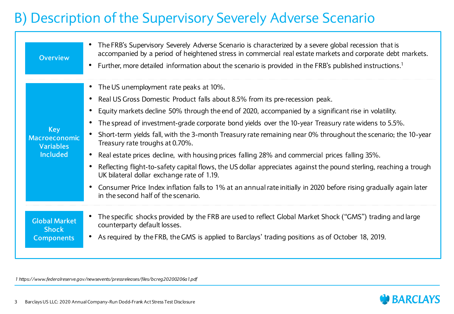#### B) Description of the Supervisory Severely Adverse Scenario

| <b>Overview</b>                                                           | The FRB's Supervisory Severely Adverse Scenario is characterized by a severe global recession that is<br>accompanied by a period of heightened stress in commercial real estate markets and corporate debt markets.<br>Further, more detailed information about the scenario is provided in the FRB's published instructions. <sup>1</sup><br>$\bullet$                                                                                                                                                                                                                                                                                                                                                                                                                                                                                                                                                                                     |
|---------------------------------------------------------------------------|---------------------------------------------------------------------------------------------------------------------------------------------------------------------------------------------------------------------------------------------------------------------------------------------------------------------------------------------------------------------------------------------------------------------------------------------------------------------------------------------------------------------------------------------------------------------------------------------------------------------------------------------------------------------------------------------------------------------------------------------------------------------------------------------------------------------------------------------------------------------------------------------------------------------------------------------|
| <b>Key</b><br><b>Macroeconomic</b><br><b>Variables</b><br><b>Included</b> | • The US unemployment rate peaks at 10%.<br>Real US Gross Domestic Product falls about 8.5% from its pre-recession peak.<br>Equity markets decline 50% through the end of 2020, accompanied by a significant rise in volatility.<br>The spread of investment-grade corporate bond yields over the 10-year Treasury rate widens to 5.5%.<br>Short-term yields fall, with the 3-month Treasury rate remaining near 0% throughout the scenario; the 10-year<br>Treasury rate troughs at 0.70%.<br>Real estate prices decline, with housing prices falling 28% and commercial prices falling 35%.<br>$\bullet$<br>Reflecting flight-to-safety capital flows, the US dollar appreciates against the pound sterling, reaching a trough<br>UK bilateral dollar exchange rate of 1.19.<br>Consumer Price Index inflation falls to 1% at an annual rate initially in 2020 before rising gradually again later<br>in the second half of the scenario. |
| <b>Global Market</b><br><b>Shock</b><br><b>Components</b>                 | The specific shocks provided by the FRB are used to reflect Global Market Shock ("GMS") trading and large<br>counterparty default losses.<br>As required by the FRB, the GMS is applied to Barclays' trading positions as of October 18, 2019.                                                                                                                                                                                                                                                                                                                                                                                                                                                                                                                                                                                                                                                                                              |

*1 https://www.federalreserve.gov/newsevents/pressreleases/files/bcreg20200206a1.pdf*

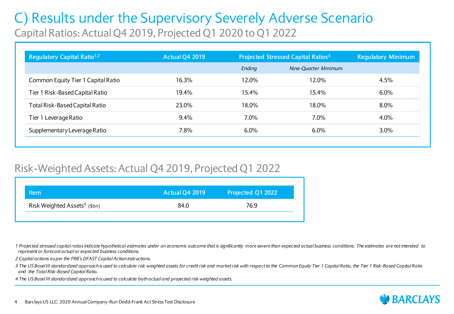#### C) Results under the Supervisory Severely Adverse Scenario Capital Ratios: Actual Q4 2019, Projected Q1 2020 to Q1 2022

| Regulatory Capital Ratio <sup>1,2</sup> | <b>Actual Q4 2019</b> | Projected Stressed Capital Ratios <sup>3</sup> |                      | <b>Regulatory Minimum</b> |
|-----------------------------------------|-----------------------|------------------------------------------------|----------------------|---------------------------|
|                                         |                       | Ending                                         | Nine-Ouarter Minimum |                           |
| Common Equity Tier 1 Capital Ratio      | 16.3%                 | 12.0%                                          | 12.0%                | $4.5\%$                   |
| Tier 1 Risk-Based Capital Ratio         | 19.4%                 | 15.4%                                          | 15.4%                | 6.0%                      |
| Total Risk-Based Capital Ratio          | 23.0%                 | 18.0%                                          | 18.0%                | 8.0%                      |
| Tier 1 Leverage Ratio                   | 9.4%                  | $7.0\%$                                        | 7.0%                 | 4.0%                      |
| Supplementary Leverage Ratio            | 7.8%                  | 6.0%                                           | 6.0%                 | 3.0%                      |

#### Risk-Weighted Assets: Actual Q4 2019, Projected Q1 2022

| <b>Item</b>                              | <b>Actual Q4 2019</b> | Projected Q1 2022 |
|------------------------------------------|-----------------------|-------------------|
| Risk Weighted Assets <sup>4</sup> (\$bn) | 84.0                  | 76.9              |
|                                          |                       |                   |

*1 Projected stressed capital ratios indicate hypothetical estimates under an economic outcome that is significantly more severe than expected actual business conditions. The estimates are not intended to represent or forecast actual or expected business conditions.*

*2 Capital actions as per the FRB's DFAST Capital Action instructions.*

*3 The US Basel III standardized approach is used to calculate risk weighted assets for credit risk and market risk with respect to the Common Equity Tier 1 Capital Ratio, the Tier 1 Risk-Based Capital Ratio and the Total Risk-Based Capital Ratio.* 

*4 The US Basel III standardized approach is used to calculate both actual and projected risk weighted assets.*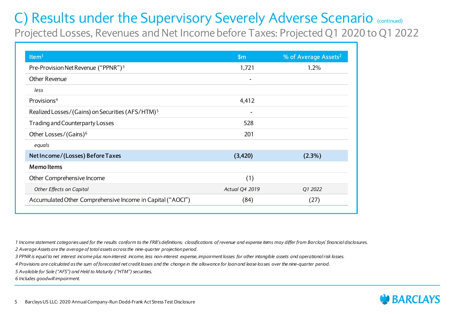Projected Losses, Revenues and Net Income before Taxes: Projected Q1 2020 to Q1 2022

| Item <sup>1</sup>                                            | $\mathsf{Sm}$         | % of Average Assets <sup>2</sup> |
|--------------------------------------------------------------|-----------------------|----------------------------------|
| Pre-Provision Net Revenue ("PPNR") <sup>3</sup>              | 1,721                 | 1.2%                             |
| Other Revenue                                                |                       |                                  |
| less                                                         |                       |                                  |
| Provisions <sup>4</sup>                                      | 4,412                 |                                  |
| Realized Losses/(Gains) on Securities (AFS/HTM) <sup>5</sup> |                       |                                  |
| Trading and Counterparty Losses                              | 528                   |                                  |
| Other Losses/(Gains) <sup>6</sup>                            | 201                   |                                  |
| equals                                                       |                       |                                  |
| Net Income/(Losses) Before Taxes                             | (3,420)               | (2.3%)                           |
| <b>Memoltems</b>                                             |                       |                                  |
| Other Comprehensive Income                                   | (1)                   |                                  |
| Other Effects on Capital                                     | <b>Actual Q4 2019</b> | Q1 2022                          |
| Accumulated Other Comprehensive Income in Capital ("AOCI")   | (84)                  | (27)                             |

*1 Income statement categories used for the results conform to the FRB's definitions; classifications of revenue and expense items may differ from Barclays' financial disclosures. 2 Average Assets are the average of total assets across the nine-quarter projection period.*

*3 PPNR is equal to net interest income plus non-interest income, less non-interest expense, impairment losses for other intangible assets and operational risk losses.*

*4 Provisions are calculated as the sum of forecasted net credit losses and the change in the allowance for loan and lease losses over the nine-quarter period.*

*5 Available for Sale ("AFS") and Held to Maturity ("HTM") securities.*

*6 Includes goodwill impairment.*

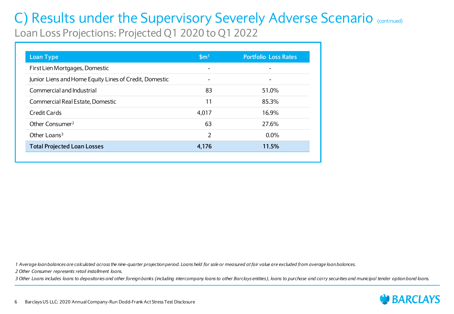Loan Loss Projections: Projected Q1 2020 to Q1 2022

| <b>Loan Type</b>                                       | $\mathsf{Sm}^1$ | <b>Portfolio Loss Rates</b> |
|--------------------------------------------------------|-----------------|-----------------------------|
| First Lien Mortgages, Domestic                         |                 |                             |
| Junior Liens and Home Equity Lines of Credit, Domestic |                 |                             |
| Commercial and Industrial                              | 83              | 51.0%                       |
| Commercial Real Estate, Domestic                       | 11              | 85.3%                       |
| <b>Credit Cards</b>                                    | 4,017           | 16.9%                       |
| Other Consumer <sup>2</sup>                            | 63              | 27.6%                       |
| Other Loans <sup>3</sup>                               | 2               | $0.0\%$                     |
| <b>Total Projected Loan Losses</b>                     | 4,176           | 11.5%                       |

*1 Average loan balances are calculated across the nine-quarter projection period. Loans held for sale or measured at fair value are excluded from average loan balances.*

*2 Other Consumer represents retail installment loans.*

*3 Other Loans includes loans to depositories and other foreign banks (including intercompany loans to other Barclays entities), loans to purchase and carry securities and municipal tender option bond loans.*

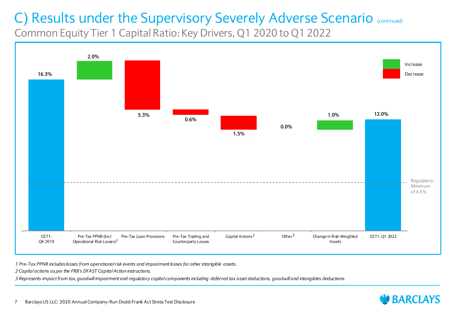Common Equity Tier 1 Capital Ratio: Key Drivers, Q1 2020 to Q1 2022



*1 Pre-Tax PPNR includes losses from operational risk events and impairment losses for other intangible assets.*

*2 Capital actions as per the FRB's DFAST Capital Action instructions.*

*3 Represents impact from tax, goodwill impairment and regulatory capital components including deferred tax asset deductions, goodwill and intangibles deductions.*

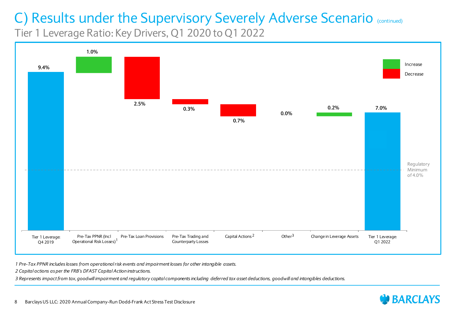Tier 1 Leverage Ratio: Key Drivers, Q1 2020 to Q1 2022



*1 Pre-Tax PPNR includes losses from operational risk events and impairment losses for other intangible assets.*

*2 Capital actions as per the FRB's DFAST Capital Action instructions.*

*3 Represents impact from tax, goodwill impairment and regulatory capital components including deferred tax asset deductions, goodwill and intangibles deductions.*

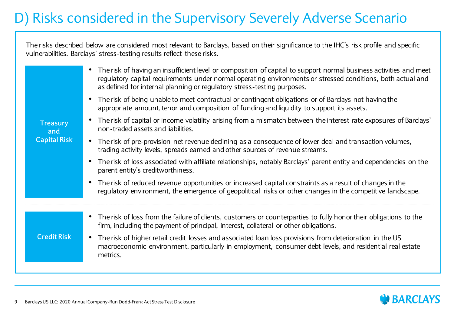#### D) Risks considered in the Supervisory Severely Adverse Scenario

The risks described below are considered most relevant to Barclays, based on their significance to the IHC's risk profile and specific vulnerabilities. Barclays' stress-testing results reflect these risks.

| <b>Treasury</b><br>and<br><b>Capital Risk</b> | The risk of having an insufficient level or composition of capital to support normal business activities and meet<br>regulatory capital requirements under normal operating environments or stressed conditions, both actual and<br>as defined for internal planning or regulatory stress-testing purposes. |
|-----------------------------------------------|-------------------------------------------------------------------------------------------------------------------------------------------------------------------------------------------------------------------------------------------------------------------------------------------------------------|
|                                               | • The risk of being unable to meet contractual or contingent obligations or of Barclays not having the<br>appropriate amount, tenor and composition of funding and liquidity to support its assets.                                                                                                         |
|                                               | The risk of capital or income volatility arising from a mismatch between the interest rate exposures of Barclays'<br>non-traded assets and liabilities.                                                                                                                                                     |
|                                               | • The risk of pre-provision net revenue declining as a consequence of lower deal and transaction volumes,<br>trading activity levels, spreads earned and other sources of revenue streams.                                                                                                                  |
|                                               | The risk of loss associated with affiliate relationships, notably Barclays' parent entity and dependencies on the<br>parent entity's creditworthiness.                                                                                                                                                      |
|                                               | The risk of reduced revenue opportunities or increased capital constraints as a result of changes in the<br>regulatory environment, the emergence of geopolitical risks or other changes in the competitive landscape.                                                                                      |
|                                               |                                                                                                                                                                                                                                                                                                             |
|                                               | The risk of loss from the failure of clients, customers or counterparties to fully honor their obligations to the<br>firm, including the payment of principal, interest, collateral or other obligations.                                                                                                   |
| <b>Credit Risk</b>                            | The risk of higher retail credit losses and associated loan loss provisions from deterioration in the US<br>macroeconomic environment, particularly in employment, consumer debt levels, and residential real estate<br>metrics.                                                                            |
|                                               |                                                                                                                                                                                                                                                                                                             |

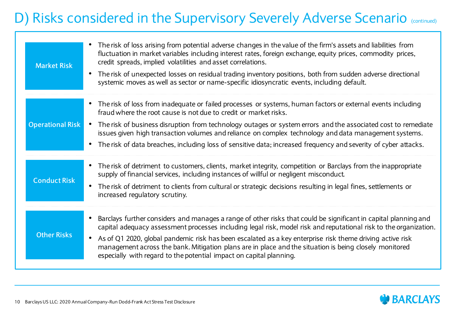#### D) Risks considered in the Supervisory Severely Adverse Scenario (continued)

| <b>Market Risk</b>      | The risk of loss arising from potential adverse changes in the value of the firm's assets and liabilities from<br>fluctuation in market variables including interest rates, foreign exchange, equity prices, commodity prices,<br>credit spreads, implied volatilities and asset correlations.<br>The risk of unexpected losses on residual trading inventory positions, both from sudden adverse directional<br>$\bullet$<br>systemic moves as well as sector or name-specific idiosyncratic events, including default.                                     |
|-------------------------|--------------------------------------------------------------------------------------------------------------------------------------------------------------------------------------------------------------------------------------------------------------------------------------------------------------------------------------------------------------------------------------------------------------------------------------------------------------------------------------------------------------------------------------------------------------|
| <b>Operational Risk</b> | • The risk of loss from inadequate or failed processes or systems, human factors or external events including<br>fraud where the root cause is not due to credit or market risks.<br>• The risk of business disruption from technology outages or system errors and the associated cost to remediate<br>issues given high transaction volumes and reliance on complex technology and data management systems.<br>• The risk of data breaches, including loss of sensitive data; increased frequency and severity of cyber attacks.                           |
| <b>Conduct Risk</b>     | The risk of detriment to customers, clients, market integrity, competition or Barclays from the inappropriate<br>$\bullet$<br>supply of financial services, including instances of willful or negligent misconduct.<br>The risk of detriment to clients from cultural or strategic decisions resulting in legal fines, settlements or<br>$\bullet$<br>increased regulatory scrutiny.                                                                                                                                                                         |
| <b>Other Risks</b>      | Barclays further considers and manages a range of other risks that could be significant in capital planning and<br>$\bullet$<br>capital adequacy assessment processes including legal risk, model risk and reputational risk to the organization.<br>As of Q1 2020, global pandemic risk has been escalated as a key enterprise risk theme driving active risk<br>$\bullet$<br>management across the bank. Mitigation plans are in place and the situation is being closely monitored<br>especially with regard to the potential impact on capital planning. |

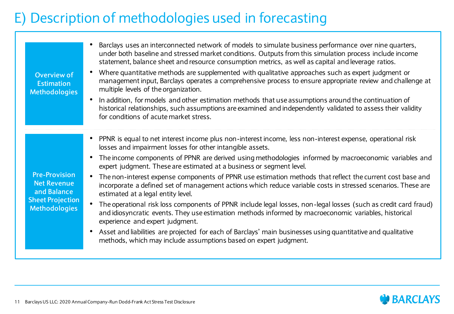#### E) Description of methodologies used in forecasting

| Overview of<br><b>Estimation</b><br><b>Methodologies</b>                                                     | Barclays uses an interconnected network of models to simulate business performance over nine quarters,<br>under both baseline and stressed market conditions. Outputs from this simulation process include income<br>statement, balance sheet and resource consumption metrics, as well as capital and leverage ratios.<br>Where quantitative methods are supplemented with qualitative approaches such as expert judgment or<br>management input, Barclays operates a comprehensive process to ensure appropriate review and challenge at<br>multiple levels of the organization.<br>In addition, for models and other estimation methods that use assumptions around the continuation of<br>$\bullet$<br>historical relationships, such assumptions are examined and independently validated to assess their validity<br>for conditions of acute market stress.                                                                                                                                                                                                                           |
|--------------------------------------------------------------------------------------------------------------|---------------------------------------------------------------------------------------------------------------------------------------------------------------------------------------------------------------------------------------------------------------------------------------------------------------------------------------------------------------------------------------------------------------------------------------------------------------------------------------------------------------------------------------------------------------------------------------------------------------------------------------------------------------------------------------------------------------------------------------------------------------------------------------------------------------------------------------------------------------------------------------------------------------------------------------------------------------------------------------------------------------------------------------------------------------------------------------------|
| <b>Pre-Provision</b><br><b>Net Revenue</b><br>and Balance<br><b>Sheet Projection</b><br><b>Methodologies</b> | PPNR is equal to net interest income plus non-interest income, less non-interest expense, operational risk<br>losses and impairment losses for other intangible assets.<br>The income components of PPNR are derived using methodologies informed by macroeconomic variables and<br>expert judgment. These are estimated at a business or segment level.<br>The non-interest expense components of PPNR use estimation methods that reflect the current cost base and<br>$\bullet$<br>incorporate a defined set of management actions which reduce variable costs in stressed scenarios. These are<br>estimated at a legal entity level.<br>The operational risk loss components of PPNR include legal losses, non-legal losses (such as credit card fraud)<br>and idiosyncratic events. They use estimation methods informed by macroeconomic variables, historical<br>experience and expert judgment.<br>Asset and liabilities are projected for each of Barclays' main businesses using quantitative and qualitative<br>methods, which may include assumptions based on expert judgment. |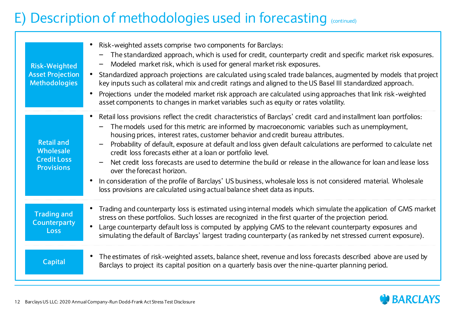#### E) Description of methodologies used in forecasting (continued)

| <b>Risk-Weighted</b><br><b>Asset Projection</b><br><b>Methodologies</b>   | Risk-weighted assets comprise two components for Barclays:<br>The standardized approach, which is used for credit, counterparty credit and specific market risk exposures.<br>Modeled market risk, which is used for general market risk exposures.<br>Standardized approach projections are calculated using scaled trade balances, augmented by models that project<br>$\bullet$<br>key inputs such as collateral mix and credit ratings and aligned to the US Basel III standardized approach.<br>Projections under the modeled market risk approach are calculated using approaches that link risk-weighted<br>$\bullet$<br>asset components to changes in market variables such as equity or rates volatility.                                                                                                                                     |
|---------------------------------------------------------------------------|---------------------------------------------------------------------------------------------------------------------------------------------------------------------------------------------------------------------------------------------------------------------------------------------------------------------------------------------------------------------------------------------------------------------------------------------------------------------------------------------------------------------------------------------------------------------------------------------------------------------------------------------------------------------------------------------------------------------------------------------------------------------------------------------------------------------------------------------------------|
| <b>Retail and</b><br>Wholesale<br><b>Credit Loss</b><br><b>Provisions</b> | Retail loss provisions reflect the credit characteristics of Barclays' credit card and installment loan portfolios:<br>٠<br>The models used for this metric are informed by macroeconomic variables such as unemployment,<br>housing prices, interest rates, customer behavior and credit bureau attributes.<br>Probability of default, exposure at default and loss given default calculations are performed to calculate net<br>credit loss forecasts either at a loan or portfolio level.<br>Net credit loss forecasts are used to determine the build or release in the allowance for loan and lease loss<br>over the forecast horizon.<br>In consideration of the profile of Barclays' US business, wholesale loss is not considered material. Wholesale<br>$\bullet$<br>loss provisions are calculated using actual balance sheet data as inputs. |
| <b>Trading and</b><br><b>Counterparty</b><br>Loss                         | Trading and counterparty loss is estimated using internal models which simulate the application of GMS market<br>$\bullet$<br>stress on these portfolios. Such losses are recognized in the first quarter of the projection period.<br>Large counterparty default loss is computed by applying GMS to the relevant counterparty exposures and<br>$\bullet$<br>simulating the default of Barclays' largest trading counterparty (as ranked by net stressed current exposure).                                                                                                                                                                                                                                                                                                                                                                            |
| <b>Capital</b>                                                            | The estimates of risk-weighted assets, balance sheet, revenue and loss forecasts described above are used by<br>$\bullet$<br>Barclays to project its capital position on a quarterly basis over the nine-quarter planning period.                                                                                                                                                                                                                                                                                                                                                                                                                                                                                                                                                                                                                       |